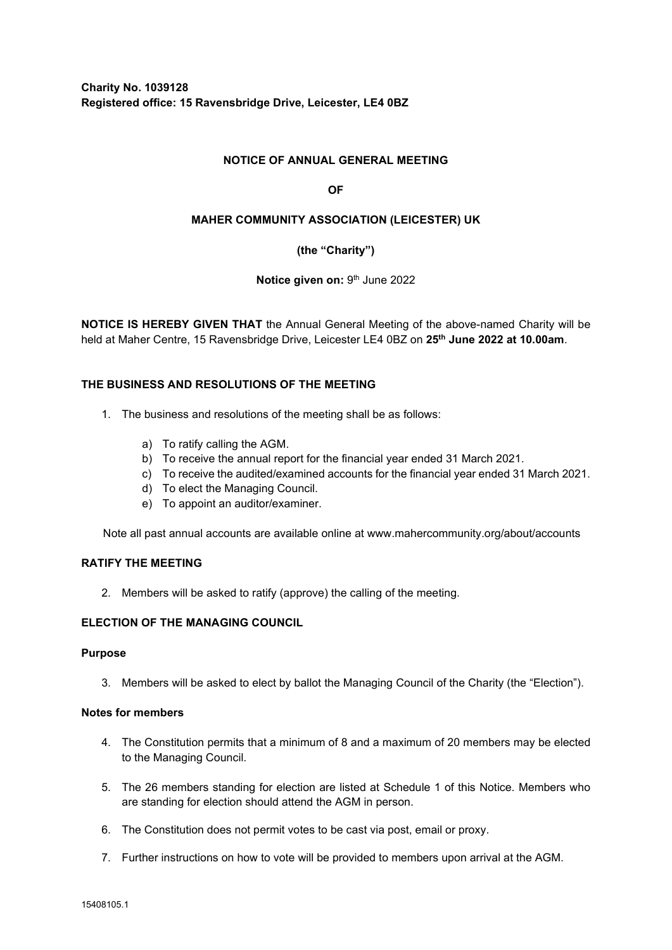## **NOTICE OF ANNUAL GENERAL MEETING**

### **OF**

### **MAHER COMMUNITY ASSOCIATION (LEICESTER) UK**

## **(the "Charity")**

### **Notice given on: 9th June 2022**

**NOTICE IS HEREBY GIVEN THAT** the Annual General Meeting of the above-named Charity will be held at Maher Centre, 15 Ravensbridge Drive, Leicester LE4 0BZ on **25th June 2022 at 10.00am**.

### **THE BUSINESS AND RESOLUTIONS OF THE MEETING**

- 1. The business and resolutions of the meeting shall be as follows:
	- a) To ratify calling the AGM.
	- b) To receive the annual report for the financial year ended 31 March 2021.
	- c) To receive the audited/examined accounts for the financial year ended 31 March 2021.
	- d) To elect the Managing Council.
	- e) To appoint an auditor/examiner.

Note all past annual accounts are available online at www.mahercommunity.org/about/accounts

### **RATIFY THE MEETING**

2. Members will be asked to ratify (approve) the calling of the meeting.

## **ELECTION OF THE MANAGING COUNCIL**

#### **Purpose**

3. Members will be asked to elect by ballot the Managing Council of the Charity (the "Election").

#### **Notes for members**

- 4. The Constitution permits that a minimum of 8 and a maximum of 20 members may be elected to the Managing Council.
- 5. The 26 members standing for election are listed at Schedule 1 of this Notice. Members who are standing for election should attend the AGM in person.
- 6. The Constitution does not permit votes to be cast via post, email or proxy.
- 7. Further instructions on how to vote will be provided to members upon arrival at the AGM.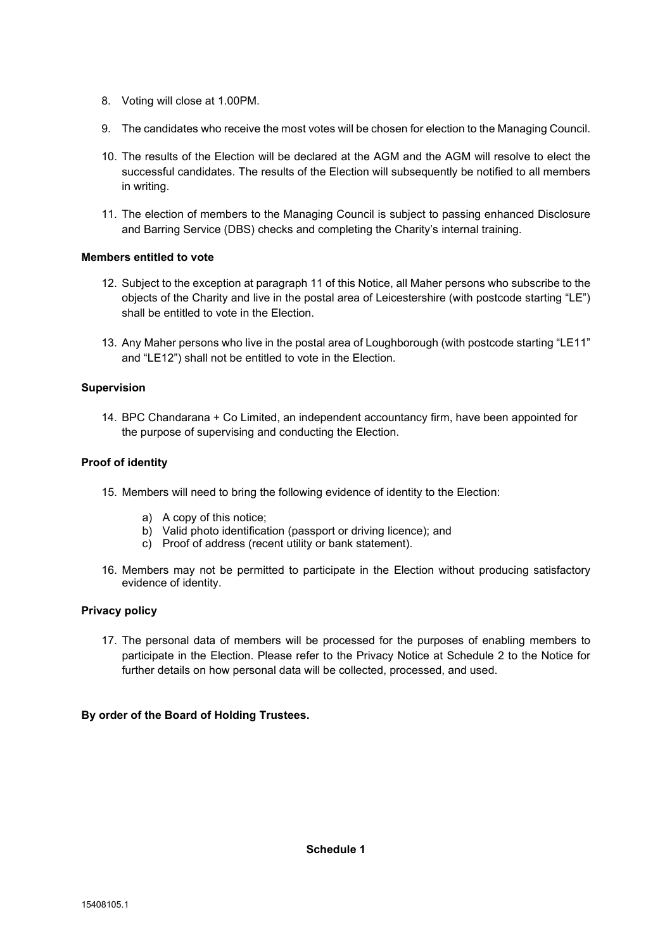- 8. Voting will close at 1.00PM.
- 9. The candidates who receive the most votes will be chosen for election to the Managing Council.
- 10. The results of the Election will be declared at the AGM and the AGM will resolve to elect the successful candidates. The results of the Election will subsequently be notified to all members in writing.
- 11. The election of members to the Managing Council is subject to passing enhanced Disclosure and Barring Service (DBS) checks and completing the Charity's internal training.

### **Members entitled to vote**

- 12. Subject to the exception at paragraph 11 of this Notice, all Maher persons who subscribe to the objects of the Charity and live in the postal area of Leicestershire (with postcode starting "LE") shall be entitled to vote in the Election.
- 13. Any Maher persons who live in the postal area of Loughborough (with postcode starting "LE11" and "LE12") shall not be entitled to vote in the Election.

### **Supervision**

14. BPC Chandarana + Co Limited, an independent accountancy firm, have been appointed for the purpose of supervising and conducting the Election.

### **Proof of identity**

- 15. Members will need to bring the following evidence of identity to the Election:
	- a) A copy of this notice;
	- b) Valid photo identification (passport or driving licence); and
	- c) Proof of address (recent utility or bank statement).
- 16. Members may not be permitted to participate in the Election without producing satisfactory evidence of identity.

#### **Privacy policy**

17. The personal data of members will be processed for the purposes of enabling members to participate in the Election. Please refer to the Privacy Notice at Schedule 2 to the Notice for further details on how personal data will be collected, processed, and used.

## **By order of the Board of Holding Trustees.**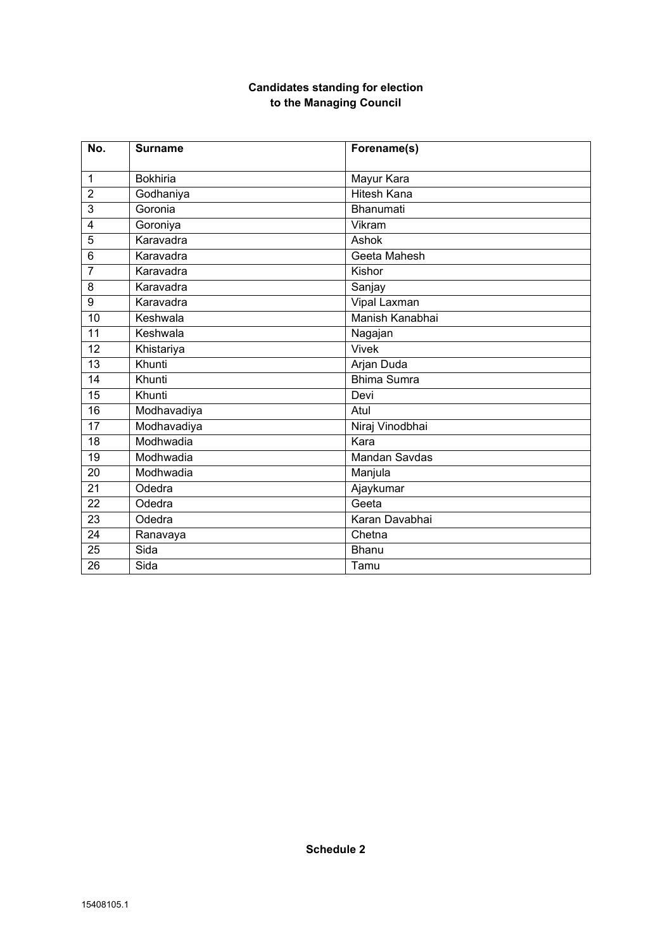# **Candidates standing for election to the Managing Council**

| No.             | <b>Surname</b>  | Forename(s)          |
|-----------------|-----------------|----------------------|
| $\mathbf{1}$    | <b>Bokhiria</b> |                      |
|                 |                 | Mayur Kara           |
| $\overline{2}$  | Godhaniya       | <b>Hitesh Kana</b>   |
| 3               | Goronia         | <b>Bhanumati</b>     |
| 4               | Goroniya        | Vikram               |
| 5               | Karavadra       | Ashok                |
| 6               | Karavadra       | Geeta Mahesh         |
| $\overline{7}$  | Karavadra       | Kishor               |
| 8               | Karavadra       | Sanjay               |
| 9               | Karavadra       | Vipal Laxman         |
| 10              | Keshwala        | Manish Kanabhai      |
| 11              | Keshwala        | Nagajan              |
| 12              | Khistariya      | <b>Vivek</b>         |
| 13              | Khunti          | Arjan Duda           |
| $\overline{14}$ | Khunti          | <b>Bhima Sumra</b>   |
| 15              | Khunti          | Devi                 |
| 16              | Modhavadiya     | Atul                 |
| 17              | Modhavadiya     | Niraj Vinodbhai      |
| 18              | Modhwadia       | Kara                 |
| $\overline{19}$ | Modhwadia       | <b>Mandan Savdas</b> |
| 20              | Modhwadia       | Manjula              |
| 21              | Odedra          | Ajaykumar            |
| $\overline{22}$ | Odedra          | Geeta                |
| 23              | Odedra          | Karan Davabhai       |
| 24              | Ranavaya        | Chetna               |
| 25              | Sida            | <b>Bhanu</b>         |
| 26              | Sida            | Tamu                 |